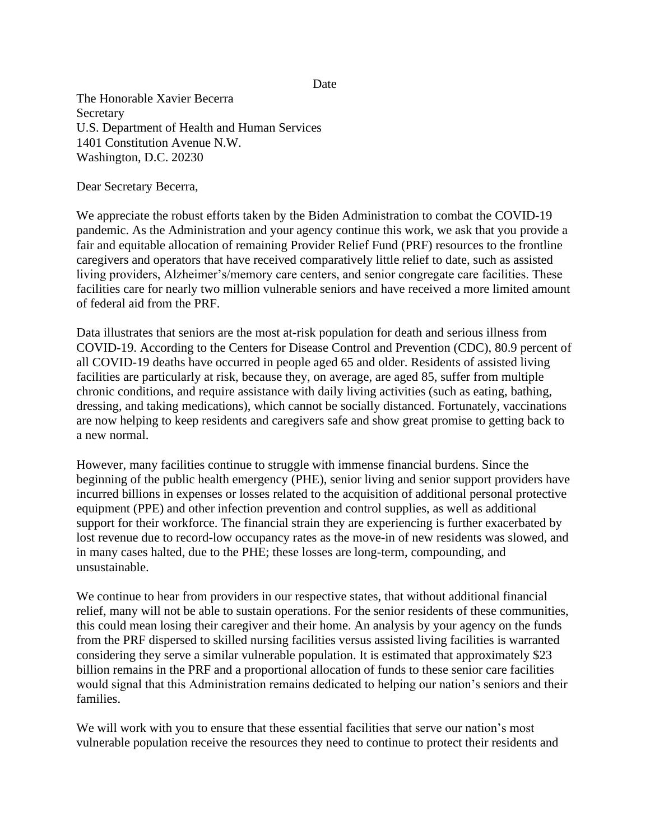Date

The Honorable Xavier Becerra Secretary U.S. Department of Health and Human Services 1401 Constitution Avenue N.W. Washington, D.C. 20230

Dear Secretary Becerra,

We appreciate the robust efforts taken by the Biden Administration to combat the COVID-19 pandemic. As the Administration and your agency continue this work, we ask that you provide a fair and equitable allocation of remaining Provider Relief Fund (PRF) resources to the frontline caregivers and operators that have received comparatively little relief to date, such as assisted living providers, Alzheimer's/memory care centers, and senior congregate care facilities. These facilities care for nearly two million vulnerable seniors and have received a more limited amount of federal aid from the PRF.

Data illustrates that seniors are the most at-risk population for death and serious illness from COVID-19. According to the Centers for Disease Control and Prevention (CDC), 80.9 percent of all COVID-19 deaths have occurred in people aged 65 and older. Residents of assisted living facilities are particularly at risk, because they, on average, are aged 85, suffer from multiple chronic conditions, and require assistance with daily living activities (such as eating, bathing, dressing, and taking medications), which cannot be socially distanced. Fortunately, vaccinations are now helping to keep residents and caregivers safe and show great promise to getting back to a new normal.

However, many facilities continue to struggle with immense financial burdens. Since the beginning of the public health emergency (PHE), senior living and senior support providers have incurred billions in expenses or losses related to the acquisition of additional personal protective equipment (PPE) and other infection prevention and control supplies, as well as additional support for their workforce. The financial strain they are experiencing is further exacerbated by lost revenue due to record-low occupancy rates as the move-in of new residents was slowed, and in many cases halted, due to the PHE; these losses are long-term, compounding, and unsustainable.

We continue to hear from providers in our respective states, that without additional financial relief, many will not be able to sustain operations. For the senior residents of these communities, this could mean losing their caregiver and their home. An analysis by your agency on the funds from the PRF dispersed to skilled nursing facilities versus assisted living facilities is warranted considering they serve a similar vulnerable population. It is estimated that approximately \$23 billion remains in the PRF and a proportional allocation of funds to these senior care facilities would signal that this Administration remains dedicated to helping our nation's seniors and their families.

We will work with you to ensure that these essential facilities that serve our nation's most vulnerable population receive the resources they need to continue to protect their residents and